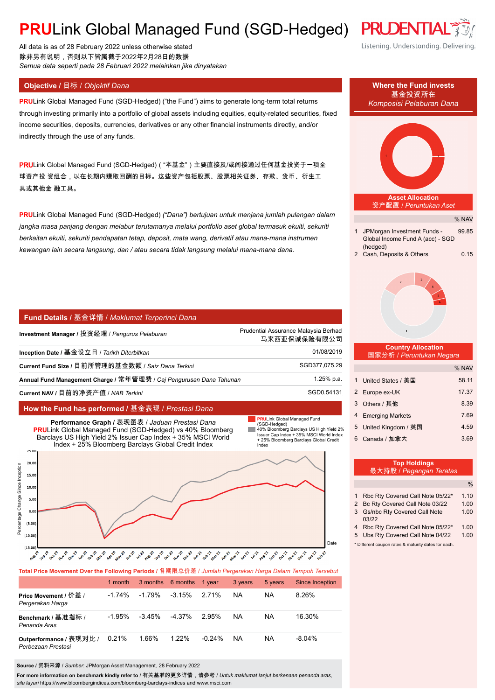# **PRULink Global Managed Fund (SGD-Hedged) PRUDENTL**

All data is as of 28 February 2022 unless otherwise stated 除非另有说明,否则以下皆属截于2022年2月28日的数据 *Semua data seperti pada 28 Februari 2022 melainkan jika dinyatakan*

**PRU**Link Global Managed Fund (SGD-Hedged) ("the Fund") aims to generate long-term total returns through investing primarily into a portfolio of global assets including equities, equity-related securities, fixed income securities, deposits, currencies, derivatives or any other financial instruments directly, and/or indirectly through the use of any funds.

PRULink Global Managed Fund (SGD-Hedged)( "本基金")主要直接及/或间接通过任何基金投资于一项全 球资产投 资组合,以在长期内赚取回酬的目标。这些资产包括股票、股票相关证券、存款、货币、衍生工 具或其他金 融工具。

**PRU**Link Global Managed Fund (SGD-Hedged) *("Dana") bertujuan untuk menjana jumlah pulangan dalam jangka masa panjang dengan melabur terutamanya melalui portfolio aset global termasuk ekuiti, sekuriti berkaitan ekuiti, sekuriti pendapatan tetap, deposit, mata wang, derivatif atau mana-mana instrumen kewangan lain secara langsung, dan / atau secara tidak langsung melalui mana-mana dana.*

#### **Fund Details /** 基金详情 / *Maklumat Terperinci Dana*

| Investment Manager / 投资经理 / <i>Penqurus Pelaburan</i>                | Prudential Assurance Malaysia Berhad<br>马来西亚保诚保险有限公司 |
|----------------------------------------------------------------------|------------------------------------------------------|
| Inception Date / 基金设立日 / Tarikh Diterbitkan                          | 01/08/2019                                           |
| Current Fund Size / 目前所管理的基金数额 / Saiz Dana Terkini                   | SGD377,075.29                                        |
| Annual Fund Management Charge / 常年管理费 / Caj Pengurusan Dana Tahunan_ | 1.25% p.a.                                           |
| Current NAV / 目前的净资产值 / NAB Terkini                                  | SGD0.54131                                           |

### **How the Fund has performed /** 基金表现 / *Prestasi Dana*



| Total Price Movement Over the Following Periods / 各期限总价差 / Jumlah Pergerakan Harga Dalam Tempoh Tersebut |           |          |                 |           |           |         |                 |  |
|----------------------------------------------------------------------------------------------------------|-----------|----------|-----------------|-----------|-----------|---------|-----------------|--|
|                                                                                                          | 1 month   | 3 months | 6 months 1 year |           | 3 years   | 5 years | Since Inception |  |
| Price Movement / 价差 /<br>Pergerakan Harga                                                                | $-1.74\%$ | -1.79%   | $-3.15%$        | 2.71%     | <b>NA</b> | NA.     | 8.26%           |  |
| Benchmark / 基准指标 /<br>Penanda Aras                                                                       | $-1.95%$  | $-3.45%$ | $-4.37\%$       | 295%      | <b>NA</b> | NA.     | 16.30%          |  |
| Outperformance / 表现对比 /<br>Perbezaan Prestasi                                                            | 0.21%     | 1.66%    | 1.22%           | $-0.24\%$ | NA.       | NA.     | $-8.04\%$       |  |

**Source /** 资料来源 / *Sumber*: JPMorgan Asset Management, 28 February 2022

**For more information on benchmark kindly refer to** / 有关基准的更多详情,请参考 / *Untuk maklumat lanjut berkenaan penanda aras, sila layari* https://www.bloombergindices.com/bloomberg-barclays-indices and www.msci.com

### Listening. Understanding. Delivering.



|   | 199119181199<br>最大持股 / Pegangan <u>Teratas</u>      |      |
|---|-----------------------------------------------------|------|
|   |                                                     | $\%$ |
|   | Rbc Rty Covered Call Note 05/22*                    | 1.10 |
|   | 2 Bc Rty Covered Call Note 03/22                    | 1.00 |
| 3 | <b>Gs/nbc Rty Covered Call Note</b><br>03/22        | 1.00 |
| 4 | Rbc Rty Covered Call Note 05/22*                    | 1.00 |
| 5 | Ubs Rty Covered Call Note 04/22                     | 1.00 |
|   | * Different coupon rates & maturity dates for each. |      |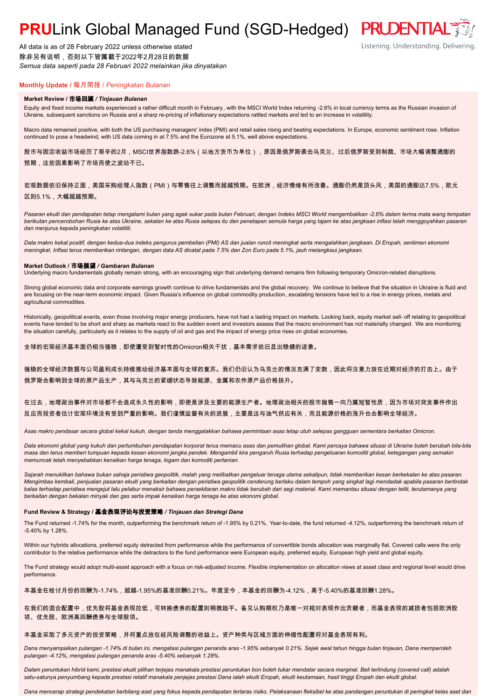# **PRULink Global Managed Fund (SGD-Hedged) PRUDENTIAL<sup>7</sup>**

All data is as of 28 February 2022 unless otherwise stated 除非另有说明,否则以下皆属截于2022年2月28日的数据 *Semua data seperti pada 28 Februari 2022 melainkan jika dinyatakan*

### **Monthly Update /** 每月简报 / *Peningkatan Bulanan*

#### **Market Review /** 市场回顾 */ Tinjauan Bulanan*

Equity and fixed income markets experienced a rather difficult month in February, with the MSCI World Index returning -2.6% in local currency terms as the Russian invasion of Ukraine, subsequent sanctions on Russia and a sharp re-pricing of inflationary expectations rattled markets and led to an increase in volatility.

Macro data remained positive, with both the US purchasing managers' index (PMI) and retail sales rising and beating expectations. In Europe, economic sentiment rose. Inflation continued to pose a headwind, with US data coming in at 7.5% and the Eurozone at 5.1%, well above expectations.

股市与固定收益市场经历了艰辛的2月,MSCI世界指数跌-2.6%(以地方货币为单位),原因是俄罗斯袭击乌克兰、过后俄罗斯受到制裁、市场大幅调整通膨的 预期,这些因素影响了市场而使之波动不已。

#### 宏观数据依旧保持正面,美国采购经理人指数(PMI)与零售往上调整而超越预期。在欧洲,经济情绪有所改善。通膨仍然是顶头风,美国的通膨达7.5%,欧元 区则5.1%,大幅超越预期。

*Pasaran ekuiti dan pendapatan tetap mengalami bulan yang agak sukar pada bulan Februari, dengan Indeks MSCI World mengembalikan -2.6% dalam terma mata wang tempatan berikutan pencerobohan Rusia ke atas Ukraine, sekatan ke atas Rusia selepas itu dan penetapan semula harga yang tajam ke atas jangkaan inflasi telah menggoyahkan pasaran dan menjurus kepada peningkatan volatiliti.*

*Data makro kekal positif, dengan kedua-dua indeks pengurus pembelian (PMI) AS dan jualan runcit meningkat serta mengalahkan jangkaan. Di Eropah, sentimen ekonomi meningkat. Inflasi terus memberikan rintangan, dengan data AS dicatat pada 7.5% dan Zon Euro pada 5.1%, jauh melangkaui jangkaan.*

#### **Market Outlook /** 市场展望 */ Gambaran Bulanan*

Underlying macro fundamentals globally remain strong, with an encouraging sign that underlying demand remains firm following temporary Omicron-related disruptions.

Strong global economic data and corporate earnings growth continue to drive fundamentals and the global recovery. We continue to believe that the situation in Ukraine is fluid and are focusing on the near-term economic impact. Given Russia's influence on global commodity production, escalating tensions have led to a rise in energy prices, metals and agricultural commodities.

Historically, geopolitical events, even those involving major energy producers, have not had a lasting impact on markets. Looking back, equity market sell- off relating to geopolitical events have tended to be short and sharp as markets react to the sudden event and investors assess that the macro environment has not materially changed. We are monitoring the situation carefully, particularly as it relates to the supply of oil and gas and the impact of energy price rises on global economies.

#### 全球的宏观经济基本面仍相当强稳,即使遭受到暂时性的Omicron相关干扰,基本需求依旧显出稳健的迹象。

强稳的全球经济数据与公司盈利成长持续推动经济基本面与全球的复苏。我们仍旧认为乌克兰的情况充满了变数,因此将注意力放在近期对经济的打击上。由于 俄罗斯会影响到全球的原产品生产,其与乌克兰的紧绷状态导致能源、金属和农作原产品价格扬升。

#### 在过去,地理政治事件对市场都不会造成永久性的影响,即使是涉及主要的能源生产者。地理政治相关的股市抛售一向乃属短暂性质,因为市场对突发事件作出 反应而投资者估计宏观环境没有受到严重的影响。我们谨慎监督有关的进展,主要是这与油气供应有关,而且能源价格的涨升也会影响全球经济。

*Asas makro pendasar secara global kekal kukuh, dengan tanda menggalakkan bahawa permintaan asas tetap utuh selepas gangguan sementara berkaitan Omicron.*

*Data ekonomi global yang kukuh dan pertumbuhan pendapatan korporat terus memacu asas dan pemulihan global. Kami percaya bahawa situasi di Ukraine boleh berubah bila-bila masa dan terus memberi tumpuan kepada kesan ekonomi jangka pendek. Mengambil kira pengaruh Rusia terhadap pengeluaran komoditi global, ketegangan yang semakin memuncak telah menyebabkan kenaikan harga tenaga, logam dan komoditi pertanian.*

*Sejarah menukilkan bahawa bukan sahaja peristiwa geopolitik, malah yang melibatkan pengeluar tenaga utama sekalipun, tidak memberikan kesan berkekalan ke atas pasaran. Mengimbas kembali, penjualan pasaran ekuiti yang berkaitan dengan peristiwa geopolitik cenderung berlaku dalam tempoh yang singkat lagi mendadak apabila pasaran bertindak balas terhadap peristiwa mengejut lalu pelabur menaksir bahawa persekitaran makro tidak berubah dari segi material. Kami memantau situasi dengan teliti, terutamanya yang berkaitan dengan bekalan minyak dan gas serta impak kenaikan harga tenaga ke atas ekonomi global.*

#### **Fund Review & Strategy /** 基金表现评论与投资策略 */ Tinjauan dan Strategi Dana*

The Fund returned -1.74% for the month, outperforming the benchmark return of -1.95% by 0.21%. Year-to-date, the fund returned -4.12%, outperforming the benchmark return of -5.40% by 1.28%.

Within our hybrids allocations, preferred equity detracted from performance while the performance of convertible bonds allocation was marginally flat. Covered calls were the only contributor to the relative performance while the detractors to the fund performance were European equity, preferred equity, European high yield and global equity.

The Fund strategy would adopt multi-asset approach with a focus on risk-adjusted income. Flexible implementation on allocation views at asset class and regional level would drive performance.

本基金在检讨月份的回酬为-1.74%,超越-1.95%的基准回酬0.21%。年度至今,本基金的回酬为-4.12%,高于-5.40%的基准回酬1.28%。

在我们的混合配置中,优先股将基金表现拉低,可转换债券的配置则稍微趋平。备兑认购期权乃是唯一对相对表现作出贡献者,而基金表现的减损者包括欧洲股 项、优先股、欧洲高回酬债券与全球股项。

#### 本基金采取了多元资产的投资策略,并将重点放在经风险调整的收益上。资产种类与区域方面的伸缩性配置将对基金表现有利。

*Dana menyampaikan pulangan -1.74% di bulan ini, mengatasi pulangan penanda aras -1.95% sebanyak 0.21%. Sejak awal tahun hingga bulan tinjauan, Dana memperoleh pulangan -4.12%, mengatasi pulangan penanda aras -5.40% sebanyak 1.28%.*

*Dalam peruntukan hibrid kami, prestasi ekuiti pilihan terjejas manakala prestasi peruntukan bon boleh tukar mendatar secara marginal. Beli terlindung (covered call) adalah satu-satunya penyumbang kepada prestasi relatif manakala penjejas prestasi Dana ialah ekuiti Eropah, ekuiti keutamaan, hasil tinggi Eropah dan ekuiti global.*

*Dana mencerap strategi pendekatan berbilang aset yang fokus kepada pendapatan terlaras risiko. Pelaksanaan fleksibel ke atas pandangan peruntukan di peringkat kelas aset dan*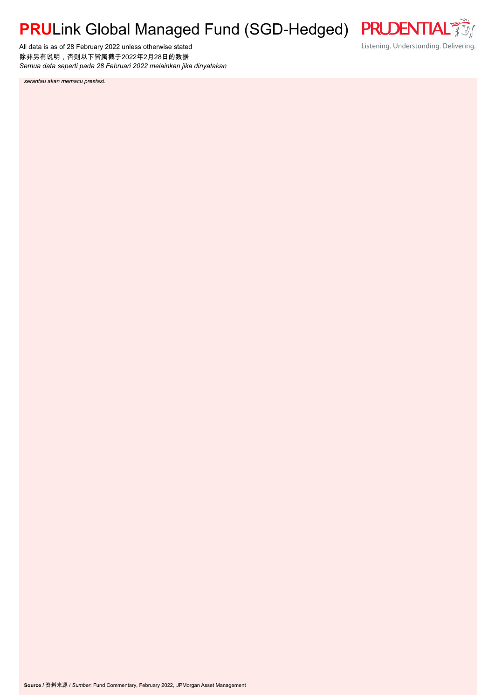# **PRU**Link Global Managed Fund (SGD-Hedged)

All data is as of 28 February 2022 unless otherwise stated 除非另有说明,否则以下皆属截于2022年2月28日的数据 *Semua data seperti pada 28 Februari 2022 melainkan jika dinyatakan* **PRUDENTIAL**  $\frac{1}{\sqrt{2}}$ Listening. Understanding. Delivering.

*serantau akan memacu prestasi.*